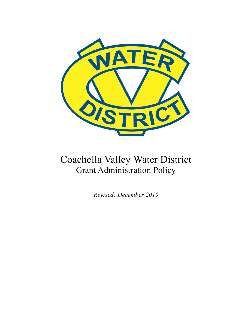

# Coachella Valley Water District Grant Administration Policy

*Revised: December 2019*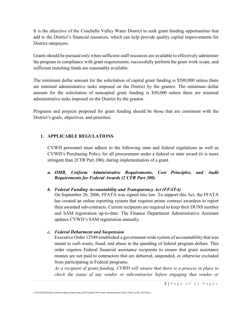It is the objective of the Coachella Valley Water District to seek grant funding opportunities that add to the District's financial resources, which can help provide quality capital improvements for District ratepayers.

Grants should be pursued only when sufficient staff resources are available to effectively administer the program in compliance with grant requirements, successfully perform the grant work scope, and sufficient matching funds are reasonably available.

The minimum dollar amount for the solicitation of capital grant funding is \$500,000 unless there are minimal administrative tasks imposed on the District by the grantor. The minimum dollar amount for the solicitation of noncapital grant funding is \$50,000 unless there are minimal administrative tasks imposed on the District by the grantor.

Programs and projects proposed for grant funding should be those that are consistent with the District's goals, objectives, and priorities.

# **1. APPLICABLE REGULATIONS**

CVWD personnel must adhere to the following state and federal regulations as well as CVWD's Purchasing Policy for all procurement under a federal or state award (it is more stringent than 2CFR Part 200), during implementation of a grant.

*a. OMB, Uniform Administrative Requirements, Cost Principles, and Audit Requirements for Federal Awards (2 CFR Part 200)*

# *b. Federal Funding Accountability and Transparency Act (FFATA)*

On September 26, 2006, FFATA was signed into law. To support this Act, the FFATA has created an online reporting system that requires prime contract awardees to report their awarded sub-contracts. Current recipients are required to keep their DUNS number and SAM registration up-to-date. The Finance Department Administrative Assistant updates CVWD's SAM registration annually.

*c. Federal Debarment and Suspension*

Executive Order 12549 established a government-wide system of accountability that was meant to curb waste, fraud, and abuse in the spending of federal program dollars. This order requires Federal financial assistance recipients to ensure that grant assistance monies are not paid to contractors that are debarred, suspended, or otherwise excluded from participating in Federal programs.

*As a recipient of grant funding, CVWD will ensure that there is a process in place to check the status of any vendor or subcontractor before engaging that vendor or*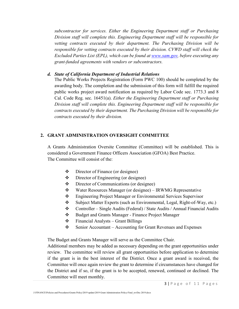*subcontractor for services. Either the Engineering Department staff or Purchasing Division staff will complete this. Engineering Department staff will be responsible for vetting contracts executed by their department. The Purchasing Division will be responsible for vetting contracts executed by their division. CVWD staff will check the Excluded Parties List (EPL), which can be found at [www.sam.gov,](http://www.sam.gov/) before executing any grant-funded agreements with vendors or subcontractors.*

## *d. State of California Department of Industrial Relations*

The Public Works Projects Registration (Form PWC 100) should be completed by the awarding body. The completion and the submission of this form will fulfill the required public works project award notification as required by Labor Code sec. 1773.3 and 8 Cal. Code Reg. sec. 16451(a). *Either the Engineering Department staff or Purchasing Division staff will complete this. Engineering Department staff will be responsible for contracts executed by their department. The Purchasing Division will be responsible for contracts executed by their division.*

## **2. GRANT ADMINISTRATION OVERSIGHT COMMITTEE**

A Grants Administration Oversite Committee (Committee) will be established. This is considered a Government Finance Officers Association (GFOA) Best Practice. The Committee will consist of the:

- Director of Finance (or designee)
- ❖ Director of Engineering (or designee)
- ❖ Director of Communications (or designee)
- Water Resources Manager (or designee) IRWMG Representative
- Engineering Project Manager or Environmental Services Supervisor
- Subject Matter Experts (such as Environmental, Legal, Right-of-Way, etc.)
- Controller Single Audits (Federal) / State Audits / Annual Financial Audits
- Budget and Grants Manager Finance Project Manager
- $\div$  Financial Analysts Grant Billings
- $\div$  Senior Accountant Accounting for Grant Revenues and Expenses

The Budget and Grants Manager will serve as the Committee Chair.

Additional members may be added as necessary depending on the grant opportunities under review. The committee will review all grant opportunities before application to determine if the grant is in the best interest of the District. Once a grant award is received, the Committee will once again review the grant to determine if circumstances have changed for the District and if so, if the grant is to be accepted, renewed, continued or declined. The Committee will meet monthly.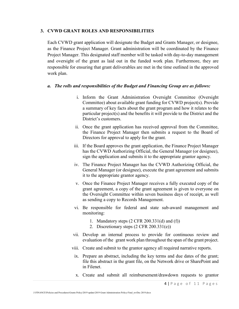#### **3. CVWD GRANT ROLES AND RESPONSIBILITIES**

Each CVWD grant application will designate the Budget and Grants Manager, or designee, as the Finance Project Manager. Grant administration will be coordinated by the Finance Project Manager. This designated staff member will be tasked with day-to-day management and oversight of the grant as laid out in the funded work plan. Furthermore, they are responsible for ensuring that grant deliverables are met in the time outlined in the approved work plan.

#### *a. The rolls and responsibilities of the Budget and Financing Group are as follows:*

- i. Inform the Grant Administration Oversight Committee (Oversight Committee) about available grant funding for CVWD project(s). Provide a summary of key facts about the grant program and how it relates to the particular project(s) and the benefits it will provide to the District and the District's customers.
- ii. Once the grant application has received approval from the Committee, the Finance Project Manager then submits a request to the Board of Directors for approval to apply for the grant.
- iii. If the Board approves the grant application, the Finance Project Manager has the CVWD Authorizing Official, the General Manager (or designee), sign the application and submits it to the appropriate grantor agency.
- iv. The Finance Project Manager has the CVWD Authorizing Official, the General Manager (or designee), execute the grant agreement and submits it to the appropriate grantor agency.
- v. Once the Finance Project Manager receives a fully executed copy of the grant agreement, a copy of the grant agreement is given to everyone on the Oversight Committee within seven business days of receipt, as well as sending a copy to Records Management.
- vi. Be responsible for federal and state sub-award management and monitoring:
	- 1. Mandatory steps (2 CFR 200.331(d) and (f))
	- 2. Discretionary steps (2 CFR 200.331(e))
- vii. Develop an internal process to provide for continuous review and evaluation of the grant work plan throughout the span of the grant project.
- viii. Create and submit to the grantor agency all required narrative reports.
- ix. Prepare an abstract, including the key terms and due dates of the grant; file this abstract in the grant file, on the Network drive or SharePoint and in Filenet.
- x. Create and submit all reimbursement/drawdown requests to grantor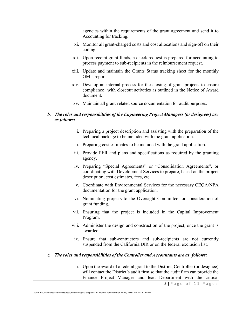agencies within the requirements of the grant agreement and send it to Accounting for tracking.

- xi. Monitor all grant-charged costs and cost allocations and sign-off on their coding.
- xii. Upon receipt grant funds, a check request is prepared for accounting to process payment to sub-recipients in the reimbursement request.
- xiii. Update and maintain the Grants Status tracking sheet for the monthly GM's report.
- xiv. Develop an internal process for the closing of grant projects to ensure compliance with closeout activities as outlined in the Notice of Award document.
- xv. Maintain all grant-related source documentation for audit purposes.

## *b. The roles and responsibilities of the Engineering Project Managers (or designees) are as follows:*

- i. Preparing a project description and assisting with the preparation of the technical package to be included with the grant application.
- ii. Preparing cost estimates to be included with the grant application.
- iii. Provide PER and plans and specifications as required by the granting agency.
- iv. Preparing "Special Agreements" or "Consolidation Agreements", or coordinating with Development Services to prepare, based on the project description, cost estimates, fees, etc.
- v. Coordinate with Environmental Services for the necessary CEQA/NPA documentation for the grant application.
- vi. Nominating projects to the Oversight Committee for consideration of grant funding.
- vii. Ensuring that the project is included in the Capital Improvement Program.
- viii. Administer the design and construction of the project, once the grant is awarded.
- ix. Ensure that sub-contractors and sub-recipients are not currently suspended from the California DIR or on the federal exclusion list.

#### *c. The roles and responsibilities of the Controller and Accountants are as follows:*

i. Upon the award of a federal grant to the District, Controller (or designee) will contact the District's audit firm so that the audit firm can provide the Finance Project Manager and lead Department with the critical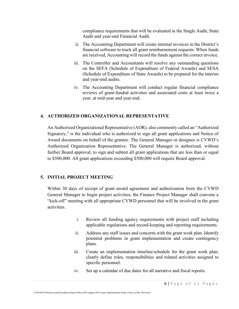compliance requirements that will be evaluated in the Single Audit, State Audit and year-end Financial Audit.

- ii. The Accounting Department will create internal invoices in the District's financial software to track all grant reimbursement requests. When funds are received, Accounting will record the funds against the correct invoice.
- iii. The Controller and Accountants will resolve any outstanding questions on the SEFA (Schedule of Expenditure of Federal Awards) and SESA (Schedule of Expenditure of State Awards) to be prepared for the interim and year-end audits.
- iv. The Accounting Department will conduct regular financial compliance reviews of grant-funded activities and associated costs at least twice a year, at mid-year and year-end.

## **4. AUTHORIZED ORGANIZATIONAL REPRESENTATIVE**

An Authorized Organizational Representative (AOR), also commonly called an "Authorized Signatory," is the individual who is authorized to sign all grant applications and Notice of Award documents on behalf of the grantee. The General Manager or designee is CVWD's Authorized Organization Representative. The General Manager is authorized, without further Board approval, to sign and submit all grant applications that are less than or equal to \$500,000. All grant applications exceeding \$500,000 will require Board approval.

# **5. INITIAL PROJECT MEETING**

Within 30 days of receipt of grant award agreement and authorization from the CVWD General Manager to begin project activities, the Finance Project Manager shall convene a "kick-off" meeting with all appropriate CVWD personnel that will be involved in the grant activities.

- i. Review all funding agency requirements with project staff including applicable regulations and record-keeping and reporting requirements.
- ii. Address any staff issues and concerns with the grant work plan. Identify potential problems in grant implementation and create contingency plans.
- iii. Create an implementation timeline/schedule for the grant work plan; clearly define roles, responsibilities and related activities assigned to specific personnel.
- iv. Set up a calendar of due dates for all narrative and fiscal reports.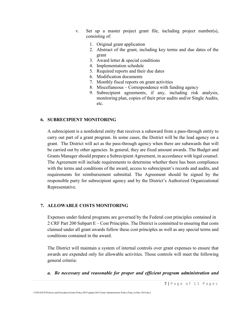- v. Set up a master project grant file, including project number(s), consisting of:
	- 1. Original grant application
	- 2. Abstract of the grant, including key terms and due dates of the grant
	- 3. Award letter & special conditions
	- 4. Implementation schedule
	- 5. Required reports and their due dates
	- 6. Modification documents
	- 7. Monthly fiscal reports on grant activities
	- 8. Miscellaneous Correspondence with funding agency
	- 9. Subrecipient agreements, if any, including risk analysis, monitoring plan, copies of their prior audits and/or Single Audits, etc.

## **6. SUBRECIPIENT MONITORING**

A subrecipient is a nonfederal entity that receives a subaward from a pass-through entity to carry out part of a grant program. In some cases, the District will be the lead agency on a grant. The District will act as the pass-through agency when there are subawards that will be carried out by other agencies. In general, they are fixed amount awards. The Budget and Grants Manager should prepare a Subrecipient Agreement, in accordance with legal counsel. The Agreement will include requirements to determine whether there has been compliance with the terms and conditions of the award, access to subrecipient's records and audits, and requirements for reimbursement submittal. The Agreement should be signed by the responsible party for subrecipient agency and by the District's Authorized Organizational Representative.

## **7. ALLOWABLE COSTS MONITORING**

Expenses under federal programs are governed by the Federal cost principles contained in 2 CRF Part 200 Subpart E – Cost Principles. The District is committed to ensuring that costs claimed under all grant awards follow these cost principles as well as any special terms and conditions contained in the award.

The District will maintain a system of internal controls over grant expenses to ensure that awards are expended only for allowable activities. Those controls will meet the following general criteria:

*a. Be necessary and reasonable for proper and efficient program administration and*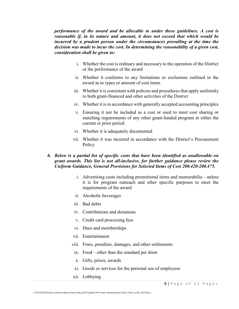*performance of the award and be allocable to under these guidelines. A cost is reasonable if, in its nature and amount, it does not exceed that which would be incurred by a prudent person under the circumstances prevailing at the time the decision was made to incur the cost. In determining the reasonability of a given cost, consideration shall be given to:*

- i. Whether the cost is ordinary and necessary to the operation of the District or the performance of the award
- ii. Whether it conforms to any limitations or exclusions outlined in the award as to types or amount of cost items
- iii. Whether it is consistent with policies and procedures that apply uniformly to both grant-financed and other activities of the District
- iv. Whether it is in accordance with generally accepted accounting principles
- v. Ensuring it not be included as a cost or used to meet cost sharing or matching requirements of any other grant-funded program in either the current or prior period
- vi. Whether it is adequately documented
- vii. Whether it was incurred in accordance with the District's Procurement **Policy**

## *b. Below is a partial list of specific costs that have been identified as unallowable on grant awards. This list is not all-inclusive, for further guidance please review the Uniform Guidance, General Provisions for Selected Items of Cost 200.420-200.475.*

- i. Advertising costs including promotional items and memorabilia unless it is for program outreach and other specific purposes to meet the requirements of the award
- ii. Alcoholic beverages
- iii. Bad debts
- iv. Contributions and donations
- v. Credit card processing fees
- vi. Dues and memberships
- vii. Entertainment
- viii. Fines, penalties, damages, and other settlements
- ix. Food other than the standard per diem
- x. Gifts, prizes, awards
- xi. Goods or services for the personal use of employees
- xii. Lobbying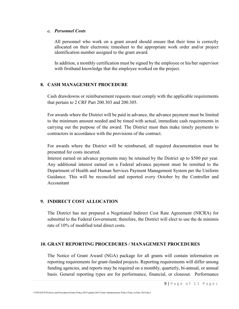#### *c. Personnel Costs*

All personnel who work on a grant award should ensure that their time is correctly allocated on their electronic timesheet to the appropriate work order and/or project identification number assigned to the grant award.

In addition, a monthly certification must be signed by the employee or his/her supervisor with firsthand knowledge that the employee worked on the project.

# **8. CASH MANAGEMENT PROCEDURE**

Cash drawdowns or reimbursement requests must comply with the applicable requirements that pertain to 2 CRF Part 200.303 and 200.305.

For awards where the District will be paid in advance, the advance payment must be limited to the minimum amount needed and be timed with actual, immediate cash requirements in carrying out the purpose of the award. The District must then make timely payments to contractors in accordance with the provisions of the contract.

For awards where the District will be reimbursed, all required documentation must be presented for costs incurred.

Interest earned on advance payments may be retained by the District up to \$500 per year. Any additional interest earned on a Federal advance payment must be remitted to the Department of Health and Human Services Payment Management System per the Uniform Guidance. This will be reconciled and reported every October by the Controller and Accountant

## **9. INDIRECT COST ALLOCATION**

The District has not prepared a Negotiated Indirect Cost Rate Agreement (NICRA) for submittal to the Federal Government; therefore, the District will elect to use the de minimis rate of 10% of modified total direct costs.

#### **10. GRANT REPORTING PROCEDURES / MANAGEMENT PROCEDURES**

The Notice of Grant Award (NGA) package for all grants will contain information on reporting requirements for grant-funded projects. Reporting requirements will differ among funding agencies, and reports may be required on a monthly, quarterly, bi-annual, or annual basis. General reporting types are for performance, financial, or closeout. Performance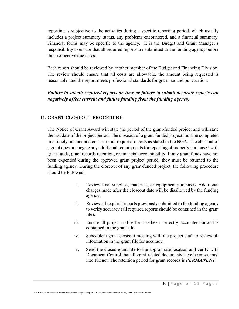reporting is subjective to the activities during a specific reporting period, which usually includes a project summary, status, any problems encountered, and a financial summary. Financial forms may be specific to the agency. It is the Budget and Grant Manager's responsibility to ensure that all required reports are submitted to the funding agency before their respective due dates.

Each report should be reviewed by another member of the Budget and Financing Division. The review should ensure that all costs are allowable, the amount being requested is reasonable, and the report meets professional standards for grammar and punctuation.

*Failure to submit required reports on time or failure to submit accurate reports can negatively affect current and future funding from the funding agency.*

## **11. GRANT CLOSEOUT PROCEDURE**

The Notice of Grant Award will state the period of the grant-funded project and will state the last date of the project period. The closeout of a grant-funded project must be completed in a timely manner and consist of all required reports as stated in the NGA. The closeout of a grant does not negate any additional requirements for reporting of property purchased with grant funds, grant records retention, or financial accountability. If any grant funds have not been expended during the approved grant project period, they must be returned to the funding agency. During the closeout of any grant-funded project, the following procedure should be followed:

- i. Review final supplies, materials, or equipment purchases. Additional charges made after the closeout date will be disallowed by the funding agency.
- ii. Review all required reports previously submitted to the funding agency to verify accuracy (all required reports should be contained in the grant file).
- iii. Ensure all project staff effort has been correctly accounted for and is contained in the grant file.
- iv. Schedule a grant closeout meeting with the project staff to review all information in the grant file for accuracy.
- v. Send the closed grant file to the appropriate location and verify with Document Control that all grant-related documents have been scanned into Filenet. The retention period for grant records is *PERMANENT*.